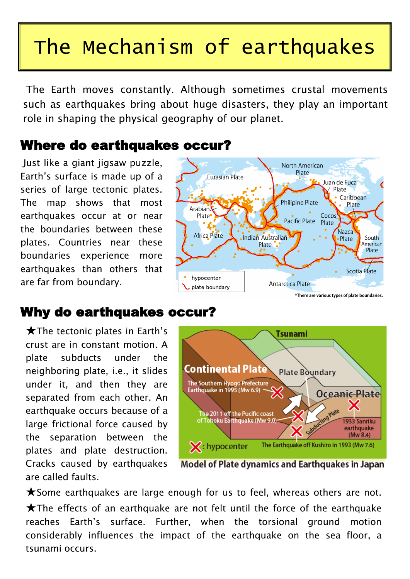# The Mechanism of earthquakes

The Earth moves constantly. Although sometimes crustal movements such as earthquakes bring about huge disasters, they play an important role in shaping the physical geography of our planet.

Just like a giant jigsaw puzzle, Earth's surface is made up of a series of large tectonic plates. The map shows that most earthquakes occur at or near the boundaries between these plates. Countries near these boundaries experience more earthquakes than others that are far from boundary.



### Where do earthquakes occur?

## Why do earthquakes occur?

★The tectonic plates in Earth's crust are in constant motion. A plate subducts under the neighboring plate, i.e., it slides under it, and then they are separated from each other. An earthquake occurs because of a large frictional force caused by the separation between the plates and plate destruction. Cracks caused by earthquakes are called faults.



★Some earthquakes are large enough for us to feel, whereas others are not. ★The effects of an earthquake are not felt until the force of the earthquake reaches Earth's surface. Further, when the torsional ground motion considerably influences the impact of the earthquake on the sea floor, a tsunami occurs.